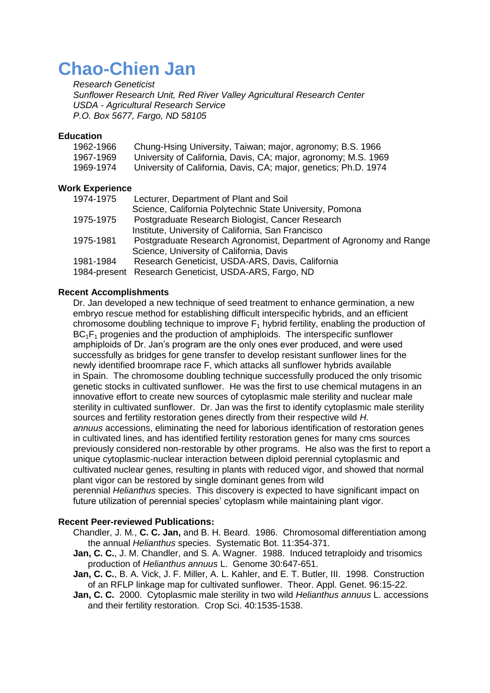## **Chao-Chien Jan**

*Research Geneticist Sunflower Research Unit, Red River Valley Agricultural Research Center USDA - Agricultural Research Service P.O. Box 5677, Fargo, ND 58105*

## **Education**

| 1962-1966              | Chung-Hsing University, Taiwan; major, agronomy; B.S. 1966         |
|------------------------|--------------------------------------------------------------------|
| 1967-1969              | University of California, Davis, CA; major, agronomy; M.S. 1969    |
| 1969-1974              | University of California, Davis, CA; major, genetics; Ph.D. 1974   |
| <b>Work Experience</b> |                                                                    |
| 1974-1975              | Lecturer, Department of Plant and Soil                             |
|                        | Science, California Polytechnic State University, Pomona           |
| 1975-1975              | Postgraduate Research Biologist, Cancer Research                   |
|                        | Institute, University of California, San Francisco                 |
| 1975-1981              | Postgraduate Research Agronomist, Department of Agronomy and Range |
|                        | Science, University of California, Davis                           |

- 1981-1984 Research Geneticist, USDA-ARS, Davis, California
- 1984-present Research Geneticist, USDA-ARS, Fargo, ND

## **Recent Accomplishments**

Dr. Jan developed a new technique of seed treatment to enhance germination, a new embryo rescue method for establishing difficult interspecific hybrids, and an efficient chromosome doubling technique to improve  $F_1$  hybrid fertility, enabling the production of  $BC<sub>1</sub>F<sub>1</sub>$  progenies and the production of amphiploids. The interspecific sunflower amphiploids of Dr. Jan's program are the only ones ever produced, and were used successfully as bridges for gene transfer to develop resistant sunflower lines for the newly identified broomrape race F, which attacks all sunflower hybrids available in Spain. The chromosome doubling technique successfully produced the only trisomic genetic stocks in cultivated sunflower. He was the first to use chemical mutagens in an innovative effort to create new sources of cytoplasmic male sterility and nuclear male sterility in cultivated sunflower. Dr. Jan was the first to identify cytoplasmic male sterility sources and fertility restoration genes directly from their respective wild *H. annuus* accessions, eliminating the need for laborious identification of restoration genes in cultivated lines, and has identified fertility restoration genes for many cms sources previously considered non-restorable by other programs. He also was the first to report a unique cytoplasmic-nuclear interaction between diploid perennial cytoplasmic and cultivated nuclear genes, resulting in plants with reduced vigor, and showed that normal plant vigor can be restored by single dominant genes from wild perennial *Helianthus* species. This discovery is expected to have significant impact on future utilization of perennial species' cytoplasm while maintaining plant vigor.

## **Recent Peer-reviewed Publications:**

- Chandler, J. M*.*, **C. C. Jan,** and B. H. Beard. 1986. Chromosomal differentiation among the annual *Helianthus* species. Systematic Bot. 11:354-371.
- **Jan, C. C.**, J. M. Chandler, and S. A. Wagner. 1988. Induced tetraploidy and trisomics production of *Helianthus annuus* L. Genome 30:647-651.
- **Jan, C. C.**, B. A. Vick, J. F. Miller, A. L. Kahler, and E. T. Butler, III. 1998. Construction of an RFLP linkage map for cultivated sunflower. Theor. Appl. Genet. 96:15-22.
- **Jan, C. C.** 2000. Cytoplasmic male sterility in two wild *Helianthus annuus* L. accessions and their fertility restoration. Crop Sci. 40:1535-1538.